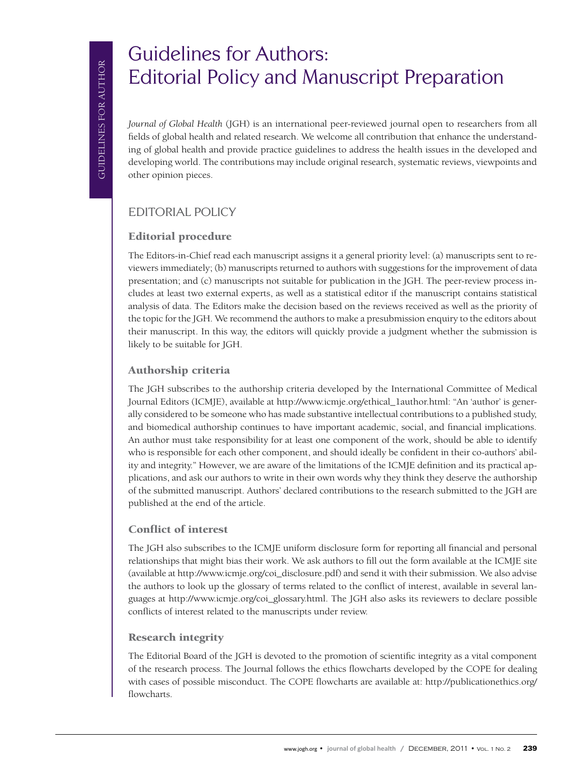# Guidelines for Authors: Editorial Policy and Manuscript Preparation

*Journal of Global Health* (JGH) is an international peer-reviewed journal open to researchers from all fields of global health and related research. We welcome all contribution that enhance the understanding of global health and provide practice guidelines to address the health issues in the developed and developing world. The contributions may include original research, systematic reviews, viewpoints and other opinion pieces.

# Editorial policy

## Editorial procedure

The Editors-in-Chief read each manuscript assigns it a general priority level: (a) manuscripts sent to reviewers immediately; (b) manuscripts returned to authors with suggestions for the improvement of data presentation; and (c) manuscripts not suitable for publication in the JGH. The peer-review process includes at least two external experts, as well as a statistical editor if the manuscript contains statistical analysis of data. The Editors make the decision based on the reviews received as well as the priority of the topic for the JGH. We recommend the authors to make a presubmission enquiry to the editors about their manuscript. In this way, the editors will quickly provide a judgment whether the submission is likely to be suitable for JGH.

### Authorship criteria

The JGH subscribes to the authorship criteria developed by the International Committee of Medical Journal Editors (ICMJE), available at [http://www.icmje.org/ethical\\_1author.html:](http://www.icmje.org/ethical_1author.html) "An 'author' is generally considered to be someone who has made substantive intellectual contributions to a published study, and biomedical authorship continues to have important academic, social, and financial implications. An author must take responsibility for at least one component of the work, should be able to identify who is responsible for each other component, and should ideally be confident in their co-authors' ability and integrity." However, we are aware of the limitations of the ICMJE definition and its practical applications, and ask our authors to write in their own words why they think they deserve the authorship of the submitted manuscript. Authors' declared contributions to the research submitted to the JGH are published at the end of the article.

#### Conflict of interest

The JGH also subscribes to the ICMJE uniform disclosure form for reporting all financial and personal relationships that might bias their work. We ask authors to fill out the form available at the ICMJE site (available at [http://www.icmje.org/coi\\_disclosure.pdf](http://www.icmje.org/coi_disclosure.pdf)) and send it with their submission. We also advise the authors to look up the glossary of terms related to the conflict of interest, available in several languages at [http://www.icmje.org/coi\\_glossary.html](http://www.icmje.org/coi_glossary.html). The JGH also asks its reviewers to declare possible conflicts of interest related to the manuscripts under review.

#### Research integrity

The Editorial Board of the JGH is devoted to the promotion of scientific integrity as a vital component of the research process. The Journal follows the ethics flowcharts developed by the COPE for dealing with cases of possible misconduct. The COPE flowcharts are available at: [http://publicationethics.org/](http://publicationethics.org/flowcharts) [flowcharts.](http://publicationethics.org/flowcharts)